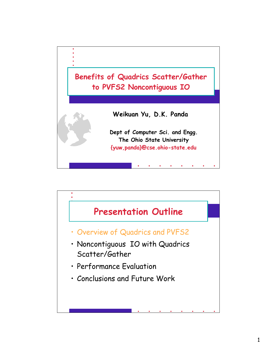

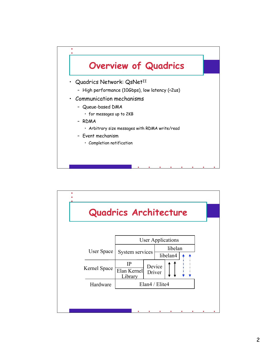

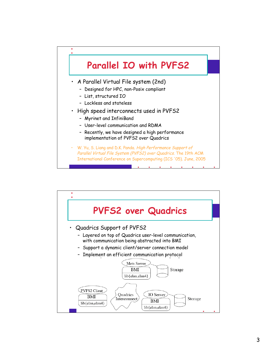## **Parallel IO with PVFS2**

- A Parallel Virtual File system (2nd)
	- Designed for HPC, non-Posix compliant
	- List, structured IO

 $\bullet$ 

- Lockless and stateless
- High speed interconnects used in PVFS2
	- Myrinet and InfiniBand
	- User-level communication and RDMA
	- Recently, we have designed a high performance implementation of PVFS2 over Quadrics
- W. Yu, S. Liang and D.K. Panda. High Performance Support of Parallel Virtual File System (PVFS2) over Quadrics. The 19th ACM International Conference on Supercomputing (ICS '05). June, 2005

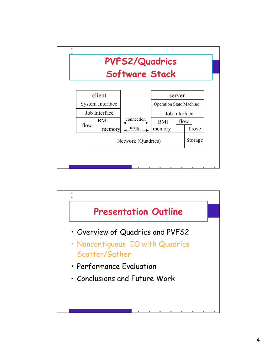

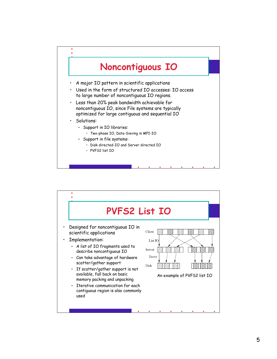

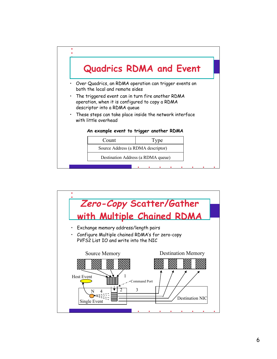

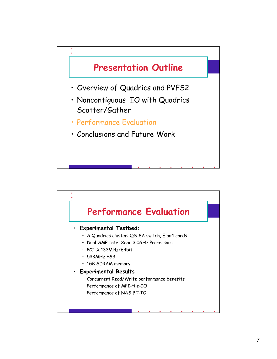

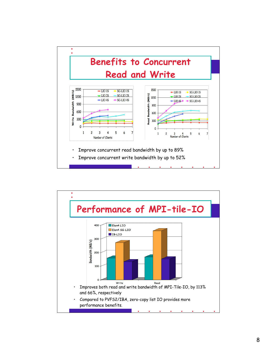

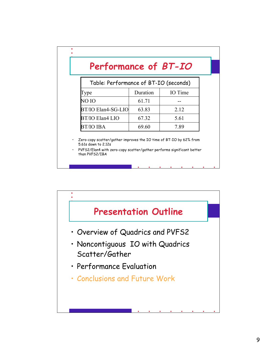## **Performance of BT-IO**

 $\bullet$ 

| Table: Performance of BT-IO (seconds) |          |         |
|---------------------------------------|----------|---------|
| `ype                                  | Duration | IO Time |
| NO IO                                 | 61.71    |         |
| BT/IO Elan4-SG-LIO                    | 63.83    | 2.12    |
| BT/IO Elan4 LIO                       | 67.32    | 5.61    |
| <b>BT/IO IBA</b>                      | 69.60    | 7 89    |

• Zero-copy scatter/gather improves the IO time of BT-IO by 62% from 5.61s down to 2.12s

• PVFS2/Elan4 with zero-copy scatter/gather performs significant better than PVFS2/IBA